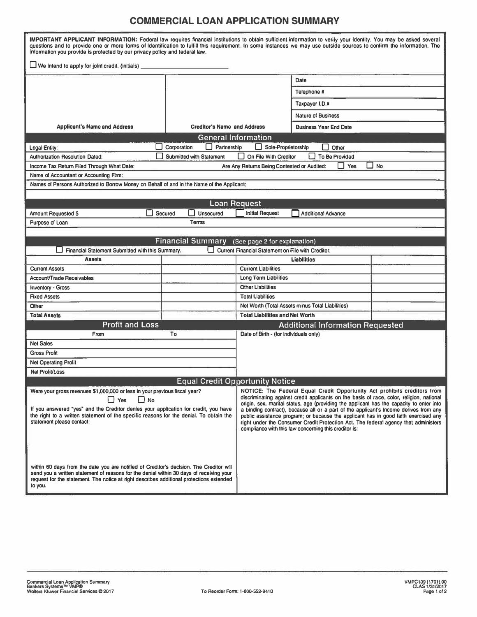## **COMMERCIAL LOAN APPLICATION SUMMARY**

| IMPORTANT APPLICANT INFORMATION: Federal law requires financial institutions to obtain sufficient information to verify your identity. You may be asked several<br>questions and to provide one or more forms of Identification to fulfill this requirement. In some instances we may use outside sources to confirm the information. The<br>Information you provide is protected by our privacy policy and federal law. |                                                                                                                                                                                                                                                                                                                                                                                                                                                   |                                                                                                                                              |                                         |  |  |  |  |  |
|--------------------------------------------------------------------------------------------------------------------------------------------------------------------------------------------------------------------------------------------------------------------------------------------------------------------------------------------------------------------------------------------------------------------------|---------------------------------------------------------------------------------------------------------------------------------------------------------------------------------------------------------------------------------------------------------------------------------------------------------------------------------------------------------------------------------------------------------------------------------------------------|----------------------------------------------------------------------------------------------------------------------------------------------|-----------------------------------------|--|--|--|--|--|
| $\Box$ We intend to apply for joint credit. (initials) $\Box$                                                                                                                                                                                                                                                                                                                                                            |                                                                                                                                                                                                                                                                                                                                                                                                                                                   |                                                                                                                                              |                                         |  |  |  |  |  |
|                                                                                                                                                                                                                                                                                                                                                                                                                          |                                                                                                                                                                                                                                                                                                                                                                                                                                                   | Date                                                                                                                                         |                                         |  |  |  |  |  |
|                                                                                                                                                                                                                                                                                                                                                                                                                          |                                                                                                                                                                                                                                                                                                                                                                                                                                                   |                                                                                                                                              | Telephone #                             |  |  |  |  |  |
|                                                                                                                                                                                                                                                                                                                                                                                                                          |                                                                                                                                                                                                                                                                                                                                                                                                                                                   |                                                                                                                                              | Taxpayer I.D.#                          |  |  |  |  |  |
|                                                                                                                                                                                                                                                                                                                                                                                                                          |                                                                                                                                                                                                                                                                                                                                                                                                                                                   |                                                                                                                                              |                                         |  |  |  |  |  |
|                                                                                                                                                                                                                                                                                                                                                                                                                          |                                                                                                                                                                                                                                                                                                                                                                                                                                                   |                                                                                                                                              | <b>Nature of Business</b>               |  |  |  |  |  |
| <b>Applicant's Name and Address</b>                                                                                                                                                                                                                                                                                                                                                                                      | <b>Creditor's Name and Address</b>                                                                                                                                                                                                                                                                                                                                                                                                                |                                                                                                                                              | <b>Business Year End Date</b>           |  |  |  |  |  |
|                                                                                                                                                                                                                                                                                                                                                                                                                          | <b>General Information</b>                                                                                                                                                                                                                                                                                                                                                                                                                        |                                                                                                                                              |                                         |  |  |  |  |  |
| Corporation<br>Partnership<br>Sole-Proprietorship<br>H<br>Other<br>Legal Entity:                                                                                                                                                                                                                                                                                                                                         |                                                                                                                                                                                                                                                                                                                                                                                                                                                   |                                                                                                                                              |                                         |  |  |  |  |  |
| <b>Authorization Resolution Dated:</b>                                                                                                                                                                                                                                                                                                                                                                                   | On File With Creditor<br><b>To Be Provided</b><br><b>Submitted with Statement</b>                                                                                                                                                                                                                                                                                                                                                                 |                                                                                                                                              |                                         |  |  |  |  |  |
| $\Box$<br>No<br>Income Tax Return Filed Through What Date:<br>Yes<br>Are Any Returns Being Contested or Audited:                                                                                                                                                                                                                                                                                                         |                                                                                                                                                                                                                                                                                                                                                                                                                                                   |                                                                                                                                              |                                         |  |  |  |  |  |
| Name of Accountant or Accounting Firm:                                                                                                                                                                                                                                                                                                                                                                                   |                                                                                                                                                                                                                                                                                                                                                                                                                                                   |                                                                                                                                              |                                         |  |  |  |  |  |
| Names of Persons Authorized to Borrow Money on Behalf of and in the Name of the Applicant;                                                                                                                                                                                                                                                                                                                               |                                                                                                                                                                                                                                                                                                                                                                                                                                                   |                                                                                                                                              |                                         |  |  |  |  |  |
|                                                                                                                                                                                                                                                                                                                                                                                                                          |                                                                                                                                                                                                                                                                                                                                                                                                                                                   |                                                                                                                                              |                                         |  |  |  |  |  |
|                                                                                                                                                                                                                                                                                                                                                                                                                          |                                                                                                                                                                                                                                                                                                                                                                                                                                                   | <b>Loan Request</b>                                                                                                                          |                                         |  |  |  |  |  |
| Amount Requested \$                                                                                                                                                                                                                                                                                                                                                                                                      | Unsecured<br>Secured                                                                                                                                                                                                                                                                                                                                                                                                                              | <b>Initial Request</b>                                                                                                                       | <b>Additional Advance</b>               |  |  |  |  |  |
| Purpose of Loan                                                                                                                                                                                                                                                                                                                                                                                                          | <b>Terms</b>                                                                                                                                                                                                                                                                                                                                                                                                                                      |                                                                                                                                              |                                         |  |  |  |  |  |
| Financial Summary (See page 2 for explanation)                                                                                                                                                                                                                                                                                                                                                                           |                                                                                                                                                                                                                                                                                                                                                                                                                                                   |                                                                                                                                              |                                         |  |  |  |  |  |
| Financial Statement Submitted with this Summary.                                                                                                                                                                                                                                                                                                                                                                         |                                                                                                                                                                                                                                                                                                                                                                                                                                                   | Current Financial Statement on File with Creditor.                                                                                           |                                         |  |  |  |  |  |
| <b>Assets</b>                                                                                                                                                                                                                                                                                                                                                                                                            |                                                                                                                                                                                                                                                                                                                                                                                                                                                   | <b>Liabilities</b>                                                                                                                           |                                         |  |  |  |  |  |
| <b>Current Assets</b>                                                                                                                                                                                                                                                                                                                                                                                                    |                                                                                                                                                                                                                                                                                                                                                                                                                                                   | <b>Current Llabilities</b>                                                                                                                   |                                         |  |  |  |  |  |
| Account/Trade Receivables                                                                                                                                                                                                                                                                                                                                                                                                |                                                                                                                                                                                                                                                                                                                                                                                                                                                   | <b>Long Term Liabilities</b>                                                                                                                 |                                         |  |  |  |  |  |
| <b>Inventory - Gross</b>                                                                                                                                                                                                                                                                                                                                                                                                 |                                                                                                                                                                                                                                                                                                                                                                                                                                                   | <b>Other Liabilities</b>                                                                                                                     |                                         |  |  |  |  |  |
| <b>Fixed Assets</b>                                                                                                                                                                                                                                                                                                                                                                                                      |                                                                                                                                                                                                                                                                                                                                                                                                                                                   | <b>Total Liabilities</b>                                                                                                                     |                                         |  |  |  |  |  |
| Other                                                                                                                                                                                                                                                                                                                                                                                                                    |                                                                                                                                                                                                                                                                                                                                                                                                                                                   | Net Worth (Total Assets minus Total Liabilities)                                                                                             |                                         |  |  |  |  |  |
| <b>Total Assets</b>                                                                                                                                                                                                                                                                                                                                                                                                      |                                                                                                                                                                                                                                                                                                                                                                                                                                                   | <b>Total Liabilities and Net Worth</b>                                                                                                       |                                         |  |  |  |  |  |
| <b>Profit and Loss</b>                                                                                                                                                                                                                                                                                                                                                                                                   |                                                                                                                                                                                                                                                                                                                                                                                                                                                   |                                                                                                                                              | <b>Additional Information Requested</b> |  |  |  |  |  |
| From                                                                                                                                                                                                                                                                                                                                                                                                                     | To                                                                                                                                                                                                                                                                                                                                                                                                                                                | Date of Birth - (for Individuals only)                                                                                                       |                                         |  |  |  |  |  |
| <b>Net Sales</b>                                                                                                                                                                                                                                                                                                                                                                                                         |                                                                                                                                                                                                                                                                                                                                                                                                                                                   |                                                                                                                                              |                                         |  |  |  |  |  |
| <b>Gross Profit</b>                                                                                                                                                                                                                                                                                                                                                                                                      |                                                                                                                                                                                                                                                                                                                                                                                                                                                   |                                                                                                                                              |                                         |  |  |  |  |  |
| <b>Net Operating Prolit</b>                                                                                                                                                                                                                                                                                                                                                                                              |                                                                                                                                                                                                                                                                                                                                                                                                                                                   |                                                                                                                                              |                                         |  |  |  |  |  |
| Net Profit/Loss                                                                                                                                                                                                                                                                                                                                                                                                          |                                                                                                                                                                                                                                                                                                                                                                                                                                                   |                                                                                                                                              |                                         |  |  |  |  |  |
|                                                                                                                                                                                                                                                                                                                                                                                                                          | <b>Equal Credit Opportunity Notice</b>                                                                                                                                                                                                                                                                                                                                                                                                            |                                                                                                                                              |                                         |  |  |  |  |  |
| Were your gross revenues \$1,000,000 or less in your previous fiscal year?<br>$\Box$ Yes<br>$\Box$ No<br>If you answered "yes" and the Creditor denies your application for credit, you have<br>the right to a written statement of the specific reasons for the denial. To obtain the                                                                                                                                   | NOTICE: The Federal Equal Credit Opportunity Act prohibits creditors from<br>discriminating against credit applicants on the basis of race, color, religion, national<br>origin, sex, marital status, age (providing the applicant has the capacity to enter into<br>a binding contract), because all or a part of the applicant's income derives from any<br>public assistance program; or because the applicant has in good faith exercised any |                                                                                                                                              |                                         |  |  |  |  |  |
| statement please contact:<br>within 60 days from the date you are notified of Creditor's decision. The Creditor will<br>send you a written statement of reasons for the denial within 30 days of receiving your<br>request for the statement. The notice at right describes additional protections extended<br>to you.                                                                                                   |                                                                                                                                                                                                                                                                                                                                                                                                                                                   | right under the Consumer Credit Protection Act. The federal agency that administers<br>compliance with this law concerning this creditor is: |                                         |  |  |  |  |  |